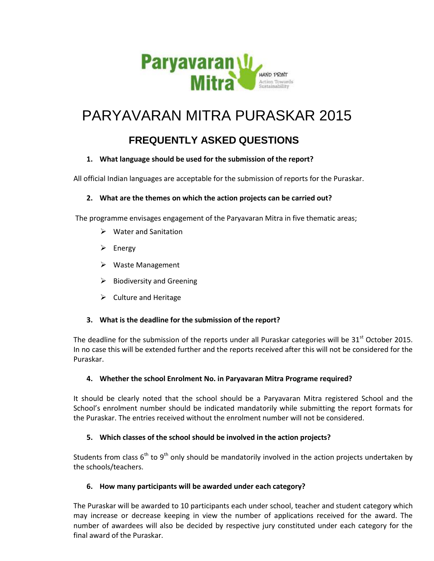

# PARYAVARAN MITRA PURASKAR 2015

# **FREQUENTLY ASKED QUESTIONS**

# **1. What language should be used for the submission of the report?**

All official Indian languages are acceptable for the submission of reports for the Puraskar.

# **2. What are the themes on which the action projects can be carried out?**

The programme envisages engagement of the Paryavaran Mitra in five thematic areas;

- $\triangleright$  Water and Sanitation
- $\triangleright$  Energy
- Waste Management
- $\triangleright$  Biodiversity and Greening
- $\triangleright$  Culture and Heritage

# **3. What is the deadline for the submission of the report?**

The deadline for the submission of the reports under all Puraskar categories will be  $31<sup>st</sup>$  October 2015. In no case this will be extended further and the reports received after this will not be considered for the Puraskar.

# **4. Whether the school Enrolment No. in Paryavaran Mitra Programe required?**

It should be clearly noted that the school should be a Paryavaran Mitra registered School and the School's enrolment number should be indicated mandatorily while submitting the report formats for the Puraskar. The entries received without the enrolment number will not be considered.

# **5. Which classes of the school should be involved in the action projects?**

Students from class  $6<sup>th</sup>$  to  $9<sup>th</sup>$  only should be mandatorily involved in the action projects undertaken by the schools/teachers.

# **6. How many participants will be awarded under each category?**

The Puraskar will be awarded to 10 participants each under school, teacher and student category which may increase or decrease keeping in view the number of applications received for the award. The number of awardees will also be decided by respective jury constituted under each category for the final award of the Puraskar.